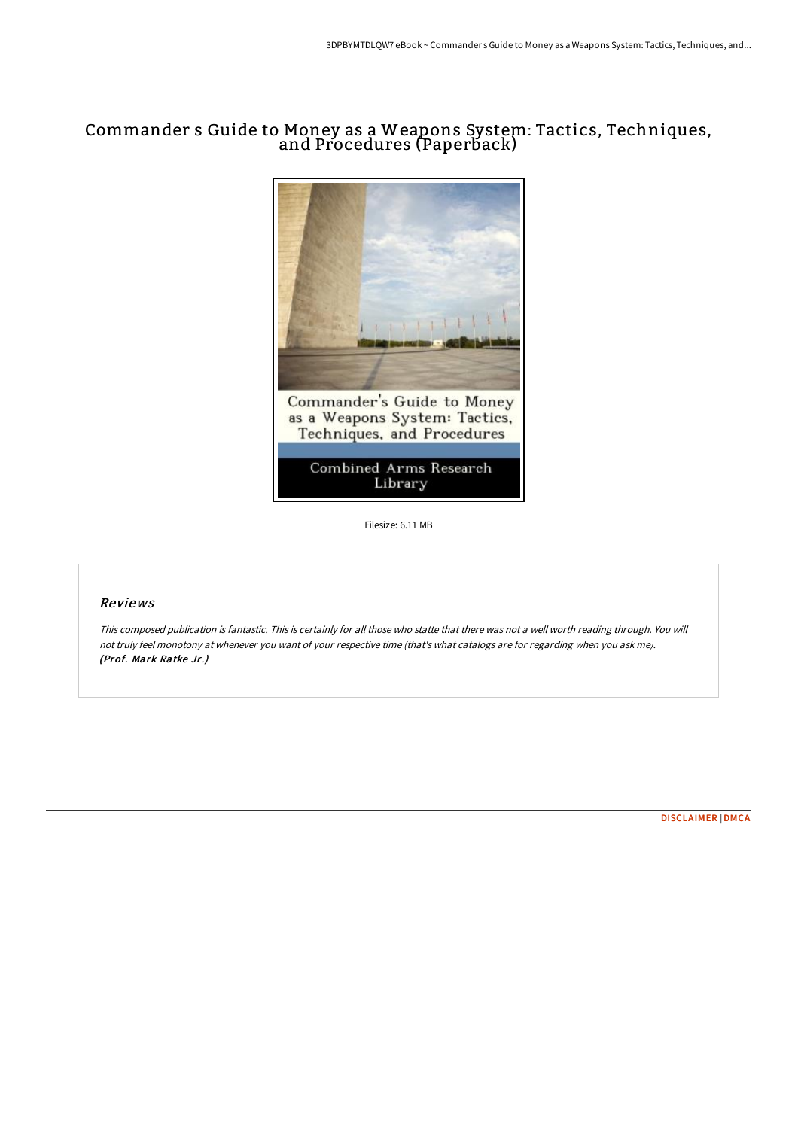## Commander s Guide to Money as a Weapons System: Tactics, Techniques, and Procedures (Paperback)



Filesize: 6.11 MB

## Reviews

This composed publication is fantastic. This is certainly for all those who statte that there was not <sup>a</sup> well worth reading through. You will not truly feel monotony at whenever you want of your respective time (that's what catalogs are for regarding when you ask me). (Prof. Mark Ratke Jr.)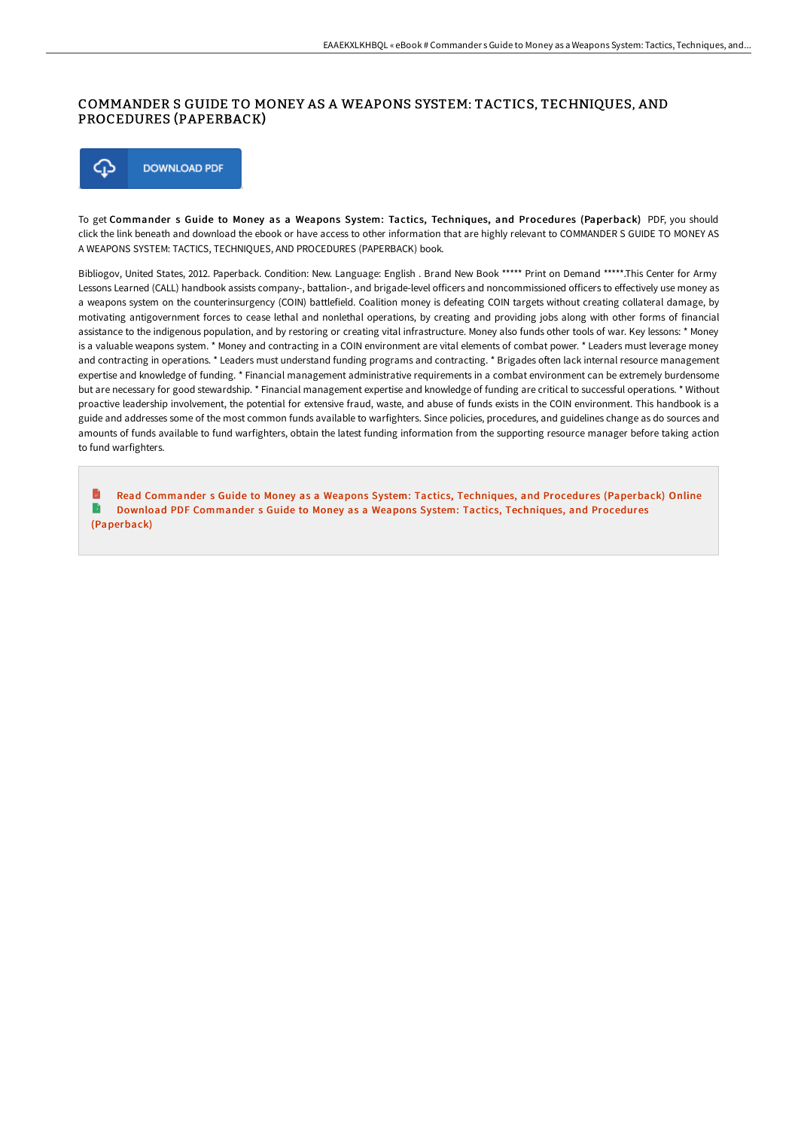## COMMANDER S GUIDE TO MONEY AS A WEAPONS SYSTEM: TACTICS, TECHNIQUES, AND PROCEDURES (PAPERBACK)



To get Commander s Guide to Money as a Weapons System: Tactics, Techniques, and Procedures (Paperback) PDF, you should click the link beneath and download the ebook or have access to other information that are highly relevant to COMMANDER S GUIDE TO MONEY AS A WEAPONS SYSTEM: TACTICS, TECHNIQUES, AND PROCEDURES (PAPERBACK) book.

Bibliogov, United States, 2012. Paperback. Condition: New. Language: English . Brand New Book \*\*\*\*\* Print on Demand \*\*\*\*\*.This Center for Army Lessons Learned (CALL) handbook assists company-, battalion-, and brigade-level officers and noncommissioned officers to effectively use money as a weapons system on the counterinsurgency (COIN) battlefield. Coalition money is defeating COIN targets without creating collateral damage, by motivating antigovernment forces to cease lethal and nonlethal operations, by creating and providing jobs along with other forms of financial assistance to the indigenous population, and by restoring or creating vital infrastructure. Money also funds other tools of war. Key lessons: \* Money is a valuable weapons system. \* Money and contracting in a COIN environment are vital elements of combat power. \* Leaders must leverage money and contracting in operations. \* Leaders must understand funding programs and contracting. \* Brigades often lack internal resource management expertise and knowledge of funding. \* Financial management administrative requirements in a combat environment can be extremely burdensome but are necessary for good stewardship. \* Financial management expertise and knowledge of funding are critical to successful operations. \* Without proactive leadership involvement, the potential for extensive fraud, waste, and abuse of funds exists in the COIN environment. This handbook is a guide and addresses some of the most common funds available to warfighters. Since policies, procedures, and guidelines change as do sources and amounts of funds available to fund warfighters, obtain the latest funding information from the supporting resource manager before taking action to fund warfighters.

Read Commander s Guide to Money as a Weapons System: Tactics, Techniques, and Procedures [\(Paperback\)](http://www.bookdirs.com/commander-s-guide-to-money-as-a-weapons-system-t.html) Online B Download PDF Commander s Guide to Money as a Weapons System: Tactics, Techniques, and Procedures [\(Paperback\)](http://www.bookdirs.com/commander-s-guide-to-money-as-a-weapons-system-t.html)